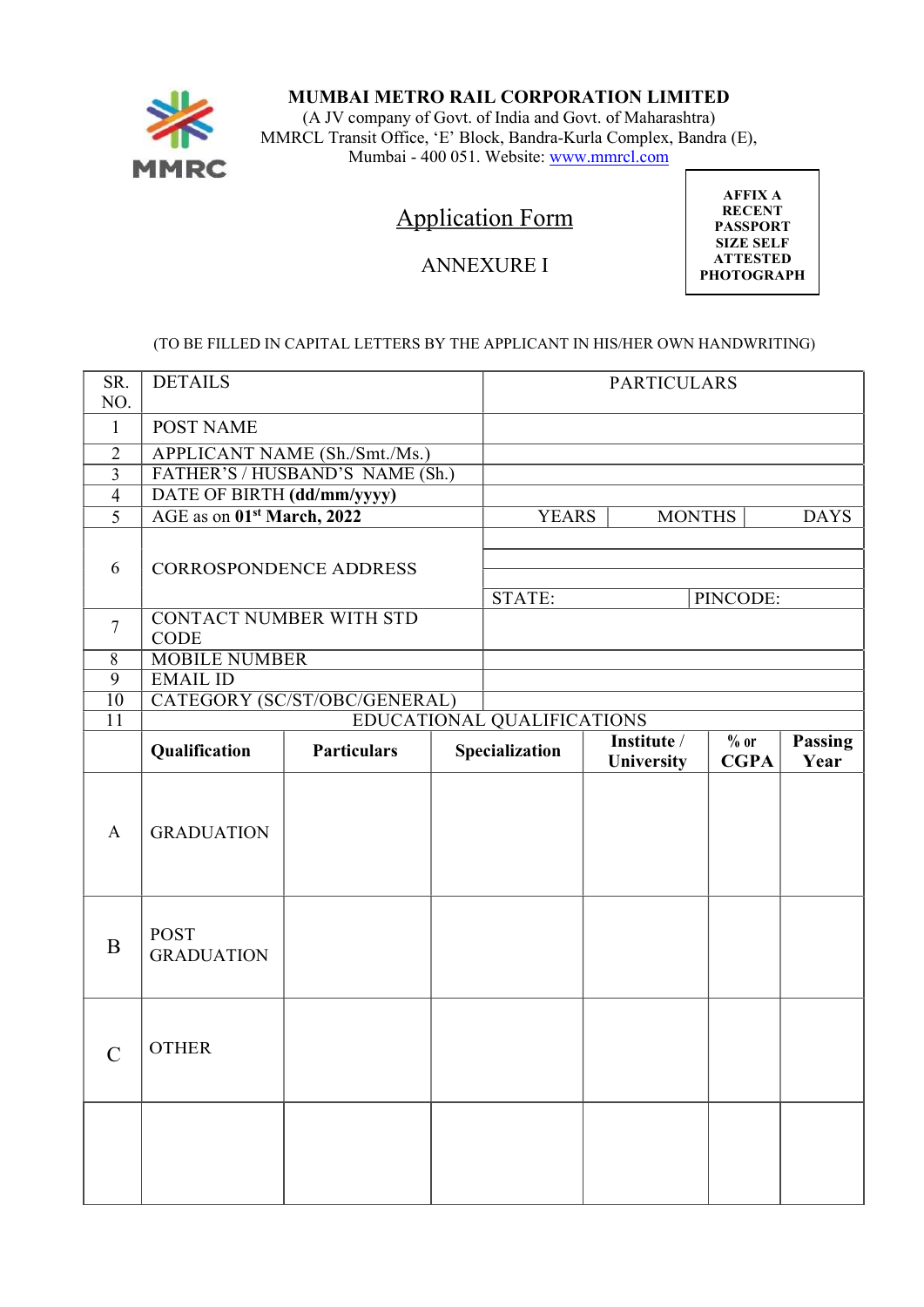

### MUMBAI METRO RAIL CORPORATION LIMITED

(A JV company of Govt. of India and Govt. of Maharashtra) MMRCL Transit Office, 'E' Block, Bandra-Kurla Complex, Bandra (E), Mumbai - 400 051. Website: www.mmrcl.com

# Application Form

## ANNEXURE I

AFFIX A RECENT PASSPORT SIZE SELF ATTESTED PHOTOGRAPH

#### (TO BE FILLED IN CAPITAL LETTERS BY THE APPLICANT IN HIS/HER OWN HANDWRITING)

| SR.<br>NO.      | <b>DETAILS</b>                                |                                 |               | <b>PARTICULARS</b>         |                                  |                       |                        |  |
|-----------------|-----------------------------------------------|---------------------------------|---------------|----------------------------|----------------------------------|-----------------------|------------------------|--|
| $\mathbf{1}$    | <b>POST NAME</b>                              |                                 |               |                            |                                  |                       |                        |  |
| $\overline{2}$  |                                               | APPLICANT NAME (Sh./Smt./Ms.)   |               |                            |                                  |                       |                        |  |
| $\overline{3}$  |                                               | FATHER'S / HUSBAND'S NAME (Sh.) |               |                            |                                  |                       |                        |  |
| $\overline{4}$  | DATE OF BIRTH (dd/mm/yyyy)                    |                                 |               |                            |                                  |                       |                        |  |
| 5               | AGE as on 01 <sup>st</sup> March, 2022        | <b>YEARS</b>                    | <b>MONTHS</b> |                            | <b>DAYS</b>                      |                       |                        |  |
| 6               |                                               | CORROSPONDENCE ADDRESS          |               | STATE:                     |                                  | PINCODE:              |                        |  |
| $\overline{7}$  | <b>CONTACT NUMBER WITH STD</b><br><b>CODE</b> |                                 |               |                            |                                  |                       |                        |  |
| 8               | <b>MOBILE NUMBER</b>                          |                                 |               |                            |                                  |                       |                        |  |
| 9               | <b>EMAIL ID</b>                               |                                 |               |                            |                                  |                       |                        |  |
| $\overline{10}$ |                                               | CATEGORY (SC/ST/OBC/GENERAL)    |               |                            |                                  |                       |                        |  |
| $\overline{11}$ |                                               |                                 |               | EDUCATIONAL QUALIFICATIONS |                                  |                       |                        |  |
|                 | Qualification                                 | <b>Particulars</b>              |               | Specialization             | Institute /<br><b>University</b> | $%$ or<br><b>CGPA</b> | <b>Passing</b><br>Year |  |
| $\mathbf{A}$    | <b>GRADUATION</b>                             |                                 |               |                            |                                  |                       |                        |  |
| $\bf{B}$        | <b>POST</b><br><b>GRADUATION</b>              |                                 |               |                            |                                  |                       |                        |  |
| $\mathcal{C}$   | <b>OTHER</b>                                  |                                 |               |                            |                                  |                       |                        |  |
|                 |                                               |                                 |               |                            |                                  |                       |                        |  |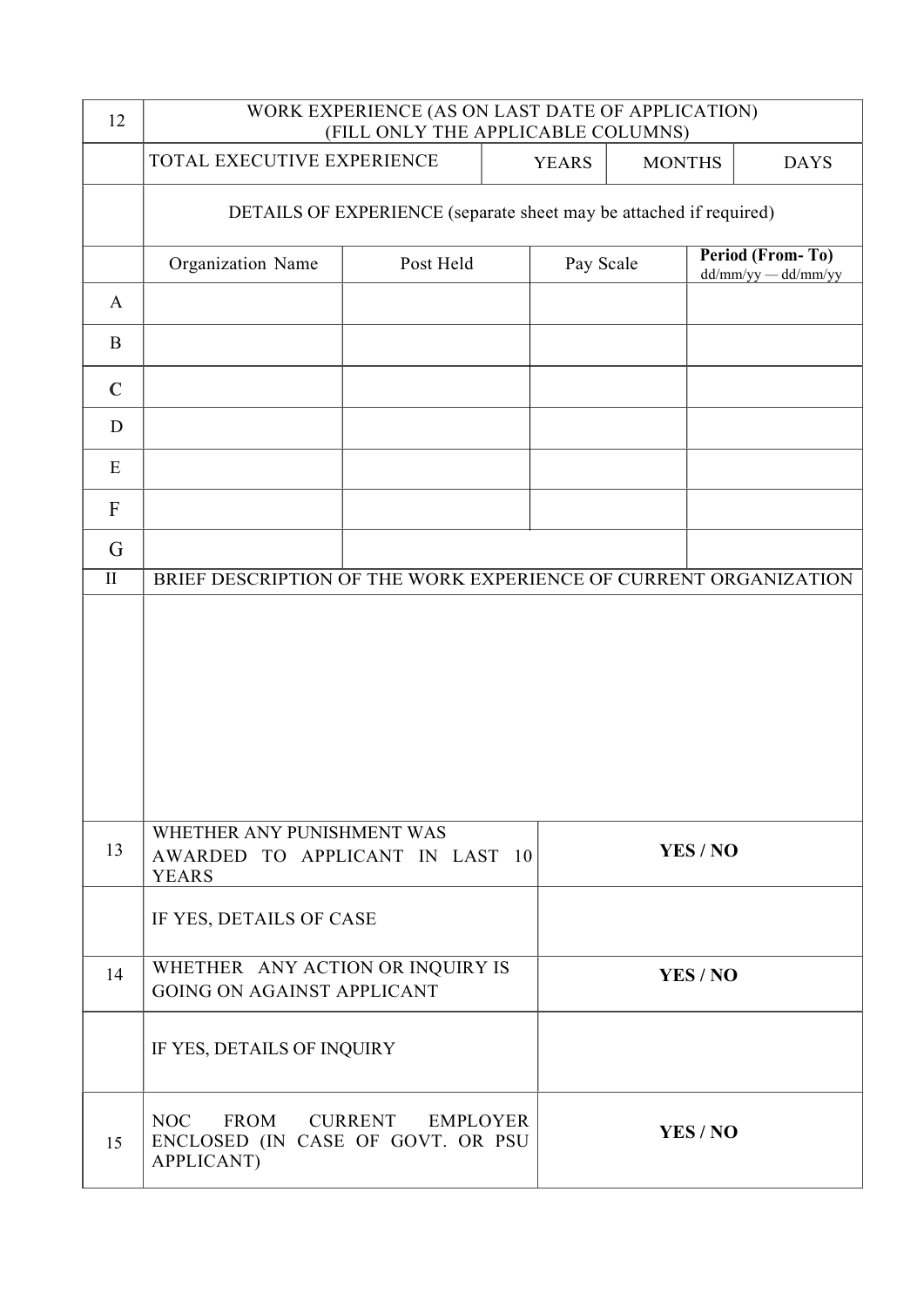| 12                                 | WORK EXPERIENCE (AS ON LAST DATE OF APPLICATION)<br>(FILL ONLY THE APPLICABLE COLUMNS)                     |           |              |                                                                    |               |                                                |  |  |  |
|------------------------------------|------------------------------------------------------------------------------------------------------------|-----------|--------------|--------------------------------------------------------------------|---------------|------------------------------------------------|--|--|--|
|                                    | TOTAL EXECUTIVE EXPERIENCE                                                                                 |           | <b>YEARS</b> |                                                                    | <b>MONTHS</b> | <b>DAYS</b>                                    |  |  |  |
|                                    |                                                                                                            |           |              | DETAILS OF EXPERIENCE (separate sheet may be attached if required) |               |                                                |  |  |  |
|                                    | Organization Name                                                                                          | Post Held |              | Pay Scale                                                          |               | <b>Period (From-To)</b><br>dd/mm/yy — dd/mm/yy |  |  |  |
| $\mathbf{A}$                       |                                                                                                            |           |              |                                                                    |               |                                                |  |  |  |
| $\mathbf B$                        |                                                                                                            |           |              |                                                                    |               |                                                |  |  |  |
| $\mathbf C$                        |                                                                                                            |           |              |                                                                    |               |                                                |  |  |  |
| D                                  |                                                                                                            |           |              |                                                                    |               |                                                |  |  |  |
| E                                  |                                                                                                            |           |              |                                                                    |               |                                                |  |  |  |
| $\mathbf F$                        |                                                                                                            |           |              |                                                                    |               |                                                |  |  |  |
| $\mathsf G$<br>$\overline{\rm II}$ | BRIEF DESCRIPTION OF THE WORK EXPERIENCE OF CURRENT ORGANIZATION                                           |           |              |                                                                    |               |                                                |  |  |  |
|                                    |                                                                                                            |           |              |                                                                    |               |                                                |  |  |  |
| 13                                 | WHETHER ANY PUNISHMENT WAS<br>AWARDED TO APPLICANT IN LAST 10<br><b>YEARS</b>                              |           |              | YES/NO                                                             |               |                                                |  |  |  |
|                                    | IF YES, DETAILS OF CASE                                                                                    |           |              |                                                                    |               |                                                |  |  |  |
| 14                                 | WHETHER ANY ACTION OR INQUIRY IS<br><b>GOING ON AGAINST APPLICANT</b>                                      |           |              | YES / NO                                                           |               |                                                |  |  |  |
|                                    | IF YES, DETAILS OF INQUIRY                                                                                 |           |              |                                                                    |               |                                                |  |  |  |
| 15                                 | <b>NOC</b><br>FROM<br><b>CURRENT</b><br><b>EMPLOYER</b><br>ENCLOSED (IN CASE OF GOVT. OR PSU<br>APPLICANT) |           |              | YES/NO                                                             |               |                                                |  |  |  |